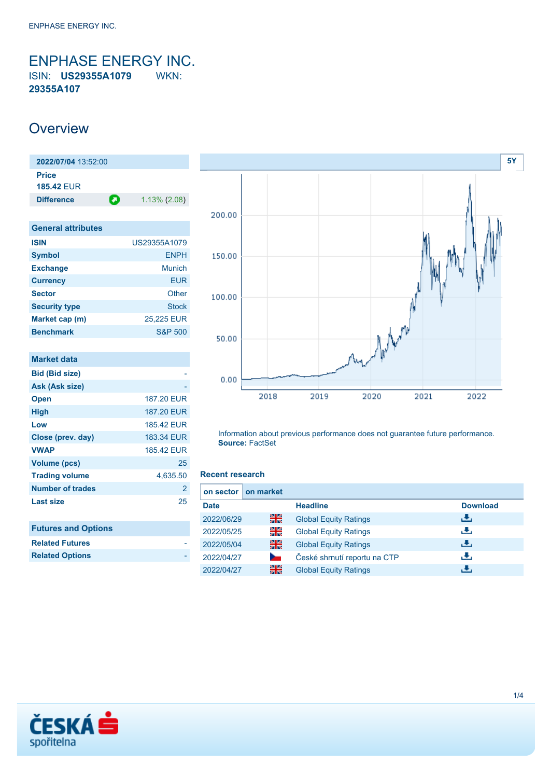<span id="page-0-0"></span>ENPHASE ENERGY INC. ISIN: **US29355A1079** WKN: **29355A107**

### **Overview**

| 2022/07/04 13:52:00        |   |                 |
|----------------------------|---|-----------------|
| Price<br><b>185.42 FUR</b> |   |                 |
| <b>Difference</b>          | О | $1.13\%$ (2.08) |

| <b>General attributes</b> |                    |
|---------------------------|--------------------|
| <b>ISIN</b>               | US29355A1079       |
| <b>Symbol</b>             | <b>ENPH</b>        |
| <b>Exchange</b>           | <b>Munich</b>      |
| <b>Currency</b>           | <b>EUR</b>         |
| <b>Sector</b>             | Other              |
| <b>Security type</b>      | <b>Stock</b>       |
| Market cap (m)            | 25,225 EUR         |
| <b>Benchmark</b>          | <b>S&amp;P 500</b> |

| <b>Market data</b>         |                   |
|----------------------------|-------------------|
| <b>Bid (Bid size)</b>      |                   |
| Ask (Ask size)             |                   |
| <b>Open</b>                | 187.20 EUR        |
| <b>High</b>                | <b>187.20 EUR</b> |
| Low                        | 185.42 EUR        |
| Close (prev. day)          | 183.34 EUR        |
| <b>VWAP</b>                | 185.42 EUR        |
| <b>Volume (pcs)</b>        | 25                |
| <b>Trading volume</b>      | 4,635.50          |
| <b>Number of trades</b>    | $\overline{2}$    |
| <b>Last size</b>           | 25                |
| <b>Futures and Options</b> |                   |
| <b>Related Futures</b>     |                   |
| <b>Related Options</b>     |                   |



Information about previous performance does not guarantee future performance. **Source:** FactSet

#### **Recent research**

| on sector I | on market |                              |                 |
|-------------|-----------|------------------------------|-----------------|
| <b>Date</b> |           | <b>Headline</b>              | <b>Download</b> |
| 2022/06/29  | 픪춙        | <b>Global Equity Ratings</b> | æ,              |
| 2022/05/25  | 읡         | <b>Global Equity Ratings</b> | æ,              |
| 2022/05/04  | 픪춙        | <b>Global Equity Ratings</b> | đ۴,             |
| 2022/04/27  |           | České shrnutí reportu na CTP | æ,              |
| 2022/04/27  | 픪춙        | <b>Global Equity Ratings</b> | ٠₩.             |

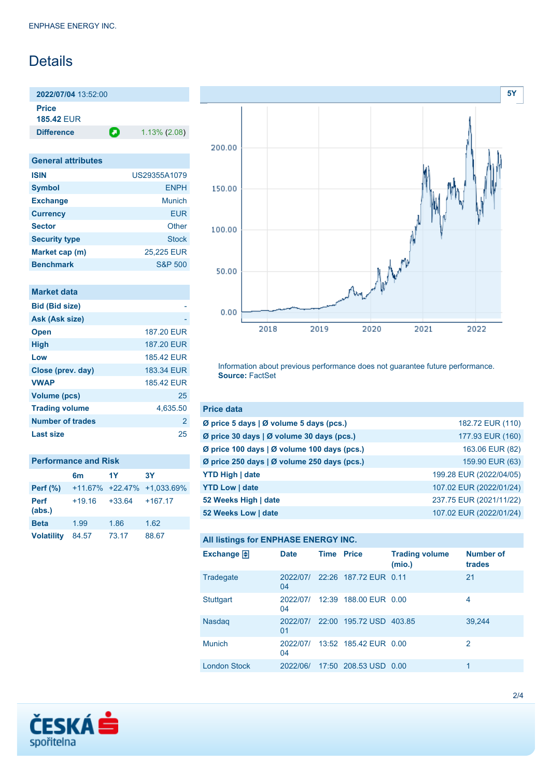## **Details**

**2022/07/04** 13:52:00

**Price 185.42** EUR

**Difference 1.13% (2.08)** 

| <b>General attributes</b> |                    |
|---------------------------|--------------------|
| <b>ISIN</b>               | US29355A1079       |
| <b>Symbol</b>             | <b>ENPH</b>        |
| <b>Exchange</b>           | Munich             |
| <b>Currency</b>           | EUR                |
| <b>Sector</b>             | Other              |
| <b>Security type</b>      | <b>Stock</b>       |
| Market cap (m)            | 25,225 EUR         |
| <b>Benchmark</b>          | <b>S&amp;P 500</b> |

|  | <b>Market data</b> |  |
|--|--------------------|--|
|  |                    |  |
|  |                    |  |

| <b>Bid (Bid size)</b> |                |
|-----------------------|----------------|
| Ask (Ask size)        |                |
| <b>Open</b>           | 187.20 EUR     |
| <b>High</b>           | 187.20 EUR     |
| Low                   | 185.42 FUR     |
| Close (prev. day)     | 183.34 EUR     |
| <b>VWAP</b>           | 185.42 FUR     |
| <b>Volume (pcs)</b>   | 25             |
| <b>Trading volume</b> | 4,635.50       |
| Number of trades      | $\overline{2}$ |
| Last size             | 25             |

| <b>Performance and Risk</b> |                |                    |                            |  |  |
|-----------------------------|----------------|--------------------|----------------------------|--|--|
|                             | 6 <sub>m</sub> | 1Y                 | 3Υ                         |  |  |
| Perf $(\%)$                 |                |                    | +11.67% +22.47% +1.033.69% |  |  |
| <b>Perf</b><br>(abs.)       | $+19.16$       | $+33.64$ $+167.17$ |                            |  |  |
| <b>Beta</b>                 | 1.99           | 1.86               | 1.62                       |  |  |
| <b>Volatility</b>           | 84.57          | 73.17              | 88.67                      |  |  |



Information about previous performance does not guarantee future performance. **Source:** FactSet

| <b>Price data</b>                           |                         |
|---------------------------------------------|-------------------------|
| Ø price 5 days   Ø volume 5 days (pcs.)     | 182.72 EUR (110)        |
| Ø price 30 days   Ø volume 30 days (pcs.)   | 177.93 EUR (160)        |
| Ø price 100 days   Ø volume 100 days (pcs.) | 163.06 EUR (82)         |
| Ø price 250 days   Ø volume 250 days (pcs.) | 159.90 EUR (63)         |
| <b>YTD High   date</b>                      | 199.28 EUR (2022/04/05) |
| <b>YTD Low   date</b>                       | 107.02 EUR (2022/01/24) |
| 52 Weeks High   date                        | 237.75 EUR (2021/11/22) |
| 52 Weeks Low   date                         | 107.02 EUR (2022/01/24) |

### **All listings for ENPHASE ENERGY INC.**

| Exchange $\Box$     | <b>Date</b>    | <b>Time Price</b> |                                  | <b>Trading volume</b><br>(mio.) | <b>Number of</b><br>trades |
|---------------------|----------------|-------------------|----------------------------------|---------------------------------|----------------------------|
| Tradegate           | 2022/07/<br>04 |                   | 22:26 187.72 EUR 0.11            |                                 | 21                         |
| <b>Stuttgart</b>    | 2022/07/<br>04 |                   | 12:39 188.00 EUR 0.00            |                                 | 4                          |
| <b>Nasdaq</b>       | 01             |                   | 2022/07/ 22:00 195.72 USD 403.85 |                                 | 39,244                     |
| <b>Munich</b>       | 2022/07/<br>04 |                   | 13:52 185.42 EUR 0.00            |                                 | 2                          |
| <b>London Stock</b> | 2022/06/       |                   | 17:50 208.53 USD 0.00            |                                 | 1                          |

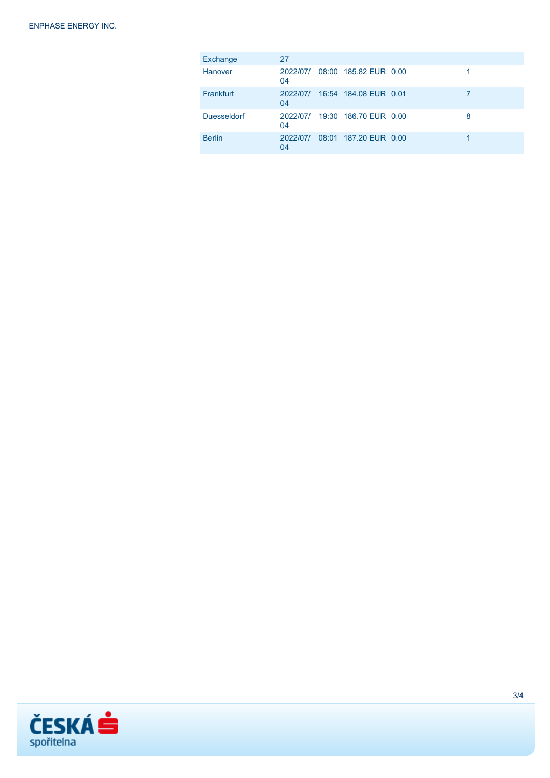| Exchange           | 27             |                                |   |
|--------------------|----------------|--------------------------------|---|
| Hanover            | 2022/07/<br>04 | 08:00 185.82 EUR 0.00          |   |
| Frankfurt          | 2022/07/<br>04 | 16:54 184.08 EUR 0.01          |   |
| <b>Duesseldorf</b> | 04             | 2022/07/ 19:30 186.70 EUR 0.00 | 8 |
| <b>Berlin</b>      | 2022/07/<br>04 | 08:01 187.20 EUR 0.00          |   |